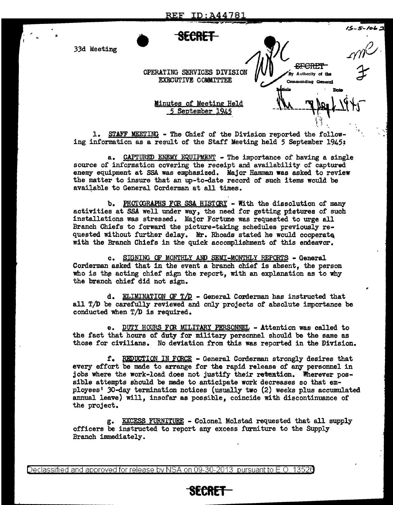-SF CR **ET** ~ By Authority of the

Commanding General

t ... ~. ~.

.,

"

(;,,/' 1

• **SECRET** 

33d Meeting  $\bigwedge_{\mathcal{A}}\bigvee_{\mathcal{A}}\bigwedge_{\mathcal{A}}\bigwedge_{\mathcal{A}}\bigwedge_{\mathcal{A}}\bigwedge_{\mathcal{A}}\bigwedge_{\mathcal{A}}\bigwedge_{\mathcal{A}}\bigwedge_{\mathcal{A}}\bigwedge_{\mathcal{A}}\bigwedge_{\mathcal{A}}\bigwedge_{\mathcal{A}}\bigwedge_{\mathcal{A}}\bigwedge_{\mathcal{A}}\bigwedge_{\mathcal{A}}\bigwedge_{\mathcal{A}}\bigwedge_{\mathcal{A}}\bigwedge_{\mathcal{A}}\bigwedge_{\mathcal{A$ 

OPERATING SERVICES DIVISION EXECUTIVE COMMITTEE

 $\frac{\text{Minutes of Meeting Health}}{5 \text{ September 1945}}$ 

1. STAFF MEETING - The Chief of the Division reported the following information as a result of the Staff Meeting held 5 September 1945:

a. CAPTURED ENEMY EQUIPMENT - The importance of having a single source of information covering the receipt and availability of captured enemy equipment at SSA was emphasized. Major **Hamman was** asked to review the matter to insure that an up-to-date record of such items would be available to General Corderman at all times.

b. PHOTOGRAPHS FOR SSA HISTORY - With the dissolution of many activities at SSA well under way, the need for getting pictures of such installations was stressed. Major Fortune was requested to urge all Branch Chiefs to forward the picture-taking schedules previously requested without further delay. Mr. Rhoads stated he would cooperate with the Branch Chiefs in the quick accomplishment of this endeavor.

c. SIDNING OF MONTHLY AND SEMI-MONTHLY REPORTS - General Corderman asked that in the event a branch chief is absent, the person who is the acting chief sign the report, with an explanation as to why the branch chief did not sign.

d. ELIMINATION OF  $T/D$  - General Corderman has instructed that all T/D be carefully reviewed and only projects of absolute importance be conducted when T/D is required.

e. DUTY HOURS FCR MILITARY PERSONNEL - Attention was called to the fact that hours of duty for military personnel should be the same as those for civilians. No deviation from this was reported in the Division.

r. REQUCTIQN IN FORCE - General Corderman strongly desires that every effort be made to arrange for the rapid release of any personnel in jobs where the work-load does not justify their reteation. Wherever possible attempts should be made to anticipate work decreases so that employees 1 JO-day termination notices (usually two (2) weeks plus accumulated annual leave) will, insofar as possible, coincide with discontinuance of the project.

g. EXCESS FURNITURE - Colonel Molstad requested that all supply officers be instructed to report any excess furniture to the Supply Branch immediately.

Declassified and approved for release by NSA on 09-30-2013 pursuantto E .0. 1352a

## **SECRET**